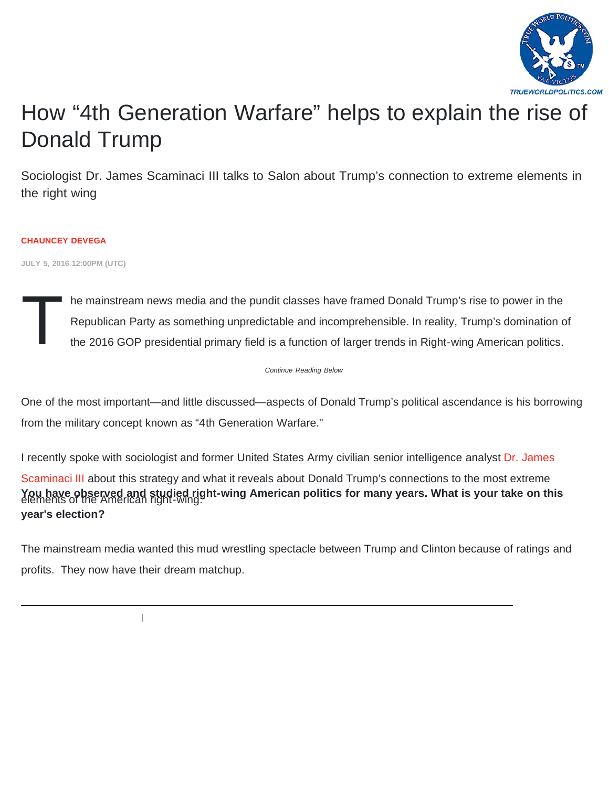

# [How "4th Generation Warfare" helps to explain the rise of](https://www.salon.com/2016/07/05/how_4th_generation_warfare_helps_to_explain_the_rise_of_donald_trump/) Donald Trump

Sociologist Dr. James Scaminaci III talks to Salon about Trump's connection to extreme elements in [the right wing](https://www.salon.com/writer/chauncey_de_vega)

#### **CHAUNCEY DEVEGA**

**JULY 5, 2016 12:00PM (UTC)**

T he mainstream news media and the pundit classes have framed Donald Trump's rise to power in the Republican Party as something unpredictable and incomprehensible. In reality, Trump's domination of the 2016 GOP presidential primary field is a function of larger trends in Right-wing American politics.

*Continue Reading Below*

One of the most important—and little discussed—aspects of Donald Trump's political ascendance is his borrowing from the military concept known as "4th Generation Warfare."

I recently spoke with sociologist and former United States Army civilian senior intelligence analyst Dr. James

Scaminaci III about this strategy and what it reveals about Donald Trump's connections to the most extreme You have observed and studied right-wing American politics for many years. What is your take on this<br>elements of the American right-wing. **year's election?**

The mainstream media wanted this mud wrestling spectacle between Trump and Clinton because of ratings and profits. They now have their dream matchup.

 $\overline{\phantom{a}}$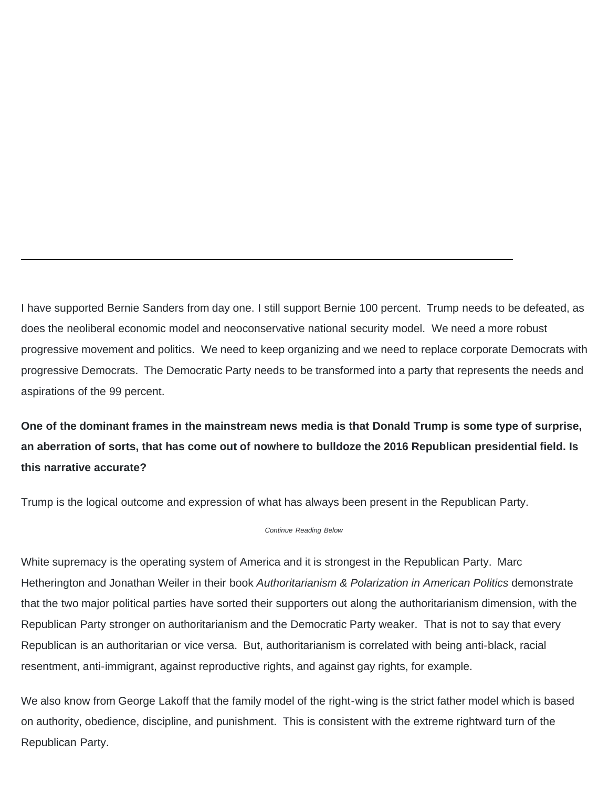I have supported Bernie Sanders from day one. I still support Bernie 100 percent. Trump needs to be defeated, as does the neoliberal economic model and neoconservative national security model. We need a more robust progressive movement and politics. We need to keep organizing and we need to replace corporate Democrats with progressive Democrats. The Democratic Party needs to be transformed into a party that represents the needs and aspirations of the 99 percent.

**One of the dominant frames in the mainstream news media is that Donald Trump is some type of surprise, an aberration of sorts, that has come out of nowhere to bulldoze the 2016 Republican presidential field. Is this narrative accurate?**

Trump is the logical outcome and expression of what has always been present in the Republican Party.

*Continue Reading Below*

White supremacy is the operating system of America and it is strongest in the Republican Party. Marc Hetherington and Jonathan Weiler in their book *Authoritarianism & Polarization in American Politics* demonstrate that the two major political parties have sorted their supporters out along the authoritarianism dimension, with the Republican Party stronger on authoritarianism and the Democratic Party weaker. That is not to say that every Republican is an authoritarian or vice versa. But, authoritarianism is correlated with being anti-black, racial resentment, anti-immigrant, against reproductive rights, and against gay rights, for example.

We also know from George Lakoff that the family model of the right-wing is the strict father model which is based on authority, obedience, discipline, and punishment. This is consistent with the extreme rightward turn of the Republican Party.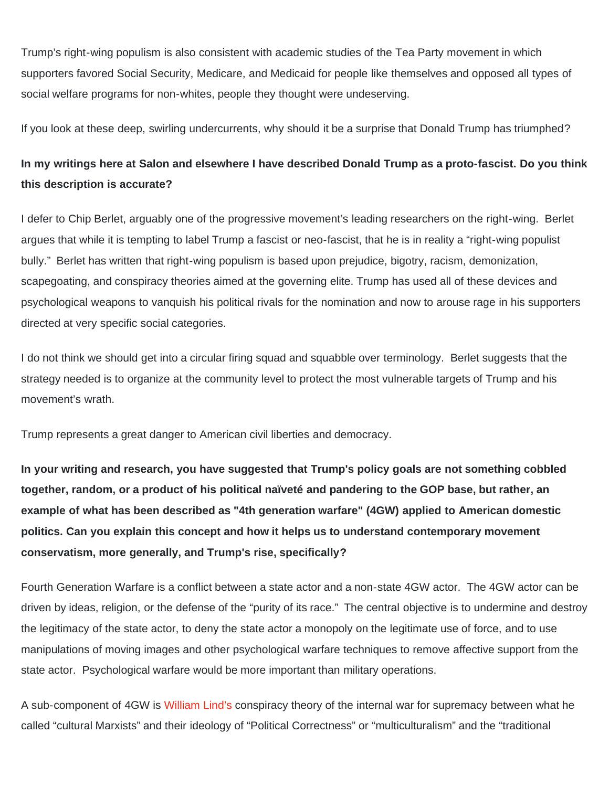Trump's right-wing populism is also consistent with academic studies of the Tea Party movement in which supporters favored Social Security, Medicare, and Medicaid for people like themselves and opposed all types of social welfare programs for non-whites, people they thought were undeserving.

If you look at these deep, swirling undercurrents, why should it be a surprise that Donald Trump has triumphed?

### **In my writings here at Salon and elsewhere I have described Donald Trump as a proto-fascist. Do you think this description is accurate?**

I defer to Chip Berlet, arguably one of the progressive movement's leading researchers on the right-wing. Berlet argues that while it is tempting to label Trump a fascist or neo-fascist, that he is in reality a "right-wing populist bully." Berlet has written that right-wing populism is based upon prejudice, bigotry, racism, demonization, scapegoating, and conspiracy theories aimed at the governing elite. Trump has used all of these devices and psychological weapons to vanquish his political rivals for the nomination and now to arouse rage in his supporters directed at very specific social categories.

I do not think we should get into a circular firing squad and squabble over terminology. Berlet suggests that the strategy needed is to organize at the community level to protect the most vulnerable targets of Trump and his movement's wrath.

Trump represents a great danger to American civil liberties and democracy.

**In your writing and research, you have suggested that Trump's policy goals are not something cobbled together, random, or a product of his political naïveté and pandering to the GOP base, but rather, an example of what has been described as "4th generation warfare" (4GW) applied to American domestic politics. Can you explain this concept and how it helps us to understand contemporary movement conservatism, more generally, and Trump's rise, specifically?**

Fourth Generation Warfare is a conflict between a state actor and a non-state 4GW actor. The 4GW actor can be driven by ideas, religion, or the defense of the "purity of its race." The central objective is to undermine and destroy the legitimacy of the state actor, to deny the state actor a monopoly on the legitimate use of force, and to use manipulations of moving images and other psychological warfare techniques to remove affective support from the state actor. Psychological warfare would be more important than military operations.

A sub-component of 4GW is [William Lind's](http://www.traditionalright.com/author/wslind/) conspiracy theory of the internal war for supremacy between what he called "cultural Marxists" and their ideology of "Political Correctness" or "multiculturalism" and the "traditional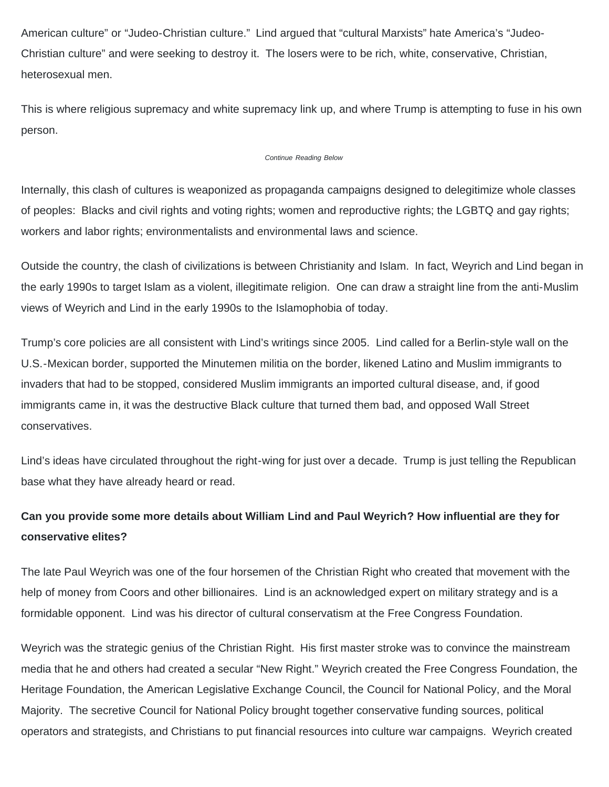American culture" or "Judeo-Christian culture." Lind argued that "cultural Marxists" hate America's "Judeo-Christian culture" and were seeking to destroy it. The losers were to be rich, white, conservative, Christian, heterosexual men.

This is where religious supremacy and white supremacy link up, and where Trump is attempting to fuse in his own person.

#### *Continue Reading Below*

Internally, this clash of cultures is weaponized as propaganda campaigns designed to delegitimize whole classes of peoples: Blacks and civil rights and voting rights; women and reproductive rights; the LGBTQ and gay rights; workers and labor rights; environmentalists and environmental laws and science.

Outside the country, the clash of civilizations is between Christianity and Islam. In fact, Weyrich and Lind began in the early 1990s to target Islam as a violent, illegitimate religion. One can draw a straight line from the anti-Muslim views of Weyrich and Lind in the early 1990s to the Islamophobia of today.

Trump's core policies are all consistent with Lind's writings since 2005. Lind called for a Berlin-style wall on the U.S.-Mexican border, supported the Minutemen militia on the border, likened Latino and Muslim immigrants to invaders that had to be stopped, considered Muslim immigrants an imported cultural disease, and, if good immigrants came in, it was the destructive Black culture that turned them bad, and opposed Wall Street conservatives.

Lind's ideas have circulated throughout the right-wing for just over a decade. Trump is just telling the Republican base what they have already heard or read.

## **Can you provide some more details about William Lind and Paul Weyrich? How influential are they for conservative elites?**

The late Paul Weyrich was one of the four horsemen of the Christian Right who created that movement with the help of money from Coors and other billionaires. Lind is an acknowledged expert on military strategy and is a formidable opponent. Lind was his director of cultural conservatism at the Free Congress Foundation.

Weyrich was the strategic genius of the Christian Right. His first master stroke was to convince the mainstream media that he and others had created a secular "New Right." Weyrich created the Free Congress Foundation, the Heritage Foundation, the American Legislative Exchange Council, the Council for National Policy, and the Moral Majority. The secretive Council for National Policy brought together conservative funding sources, political operators and strategists, and Christians to put financial resources into culture war campaigns. Weyrich created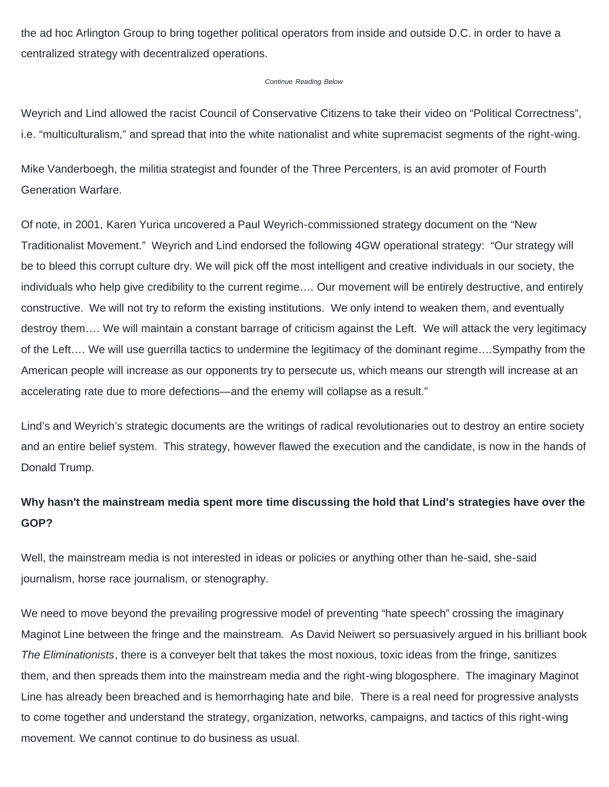the ad hoc Arlington Group to bring together political operators from inside and outside D.C. in order to have a centralized strategy with decentralized operations.

#### *Continue Reading Below*

Weyrich and Lind allowed the racist Council of Conservative Citizens to take their video on "Political Correctness", i.e. "multiculturalism," and spread that into the white nationalist and white supremacist segments of the right-wing.

Mike Vanderboegh, the militia strategist and founder of the Three Percenters, is an avid promoter of Fourth Generation Warfare.

Of note, in 2001, Karen Yurica uncovered a Paul Weyrich-commissioned strategy document on the "New Traditionalist Movement." Weyrich and Lind endorsed the following 4GW operational strategy: "Our strategy will be to bleed this corrupt culture dry. We will pick off the most intelligent and creative individuals in our society, the individuals who help give credibility to the current regime…. Our movement will be entirely destructive, and entirely constructive. We will not try to reform the existing institutions. We only intend to weaken them, and eventually destroy them…. We will maintain a constant barrage of criticism against the Left. We will attack the very legitimacy of the Left…. We will use guerrilla tactics to undermine the legitimacy of the dominant regime….Sympathy from the American people will increase as our opponents try to persecute us, which means our strength will increase at an accelerating rate due to more defections—and the enemy will collapse as a result."

Lind's and Weyrich's strategic documents are the writings of radical revolutionaries out to destroy an entire society and an entire belief system. This strategy, however flawed the execution and the candidate, is now in the hands of Donald Trump.

#### **Why hasn't the mainstream media spent more time discussing the hold that Lind's strategies have over the GOP?**

Well, the mainstream media is not interested in ideas or policies or anything other than he-said, she-said journalism, horse race journalism, or stenography.

We need to move beyond the prevailing progressive model of preventing "hate speech" crossing the imaginary Maginot Line between the fringe and the mainstream. As David Neiwert so persuasively argued in his brilliant book *The Eliminationists*, there is a conveyer belt that takes the most noxious, toxic ideas from the fringe, sanitizes them, and then spreads them into the mainstream media and the right-wing blogosphere. The imaginary Maginot Line has already been breached and is hemorrhaging hate and bile. There is a real need for progressive analysts to come together and understand the strategy, organization, networks, campaigns, and tactics of this right-wing movement. We cannot continue to do business as usual.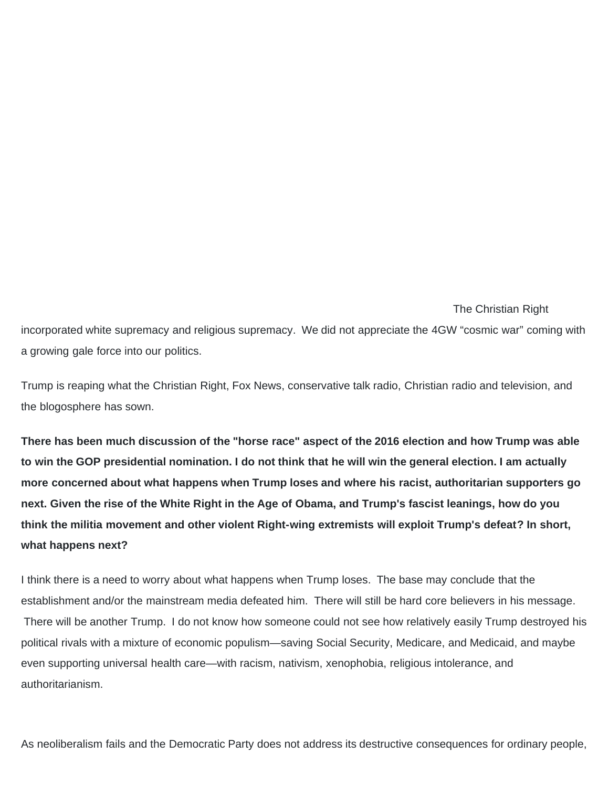The Christian Right incorporated white supremacy and religious supremacy. We did not appreciate the 4GW "cosmic war" coming with a growing gale force into our politics.

Trump is reaping what the Christian Right, Fox News, conservative talk radio, Christian radio and television, and the blogosphere has sown.

**There has been much discussion of the "horse race" aspect of the 2016 election and how Trump was able to win the GOP presidential nomination. I do not think that he will win the general election. I am actually more concerned about what happens when Trump loses and where his racist, authoritarian supporters go next. Given the rise of the White Right in the Age of Obama, and Trump's fascist leanings, how do you think the militia movement and other violent Right-wing extremists will exploit Trump's defeat? In short, what happens next?**

I think there is a need to worry about what happens when Trump loses. The base may conclude that the establishment and/or the mainstream media defeated him. There will still be hard core believers in his message. There will be another Trump. I do not know how someone could not see how relatively easily Trump destroyed his political rivals with a mixture of economic populism—saving Social Security, Medicare, and Medicaid, and maybe even supporting universal health care—with racism, nativism, xenophobia, religious intolerance, and authoritarianism.

As neoliberalism fails and the Democratic Party does not address its destructive consequences for ordinary people,